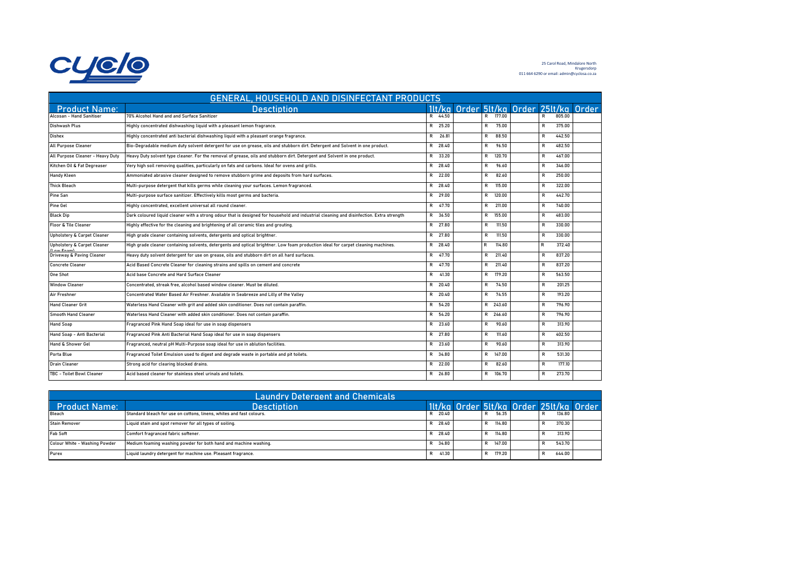

25 Carol Road, Mindalore North Krugersdorp 011 664 6290 or email: admin@cyclosa.co.za

| GENERAL, HOUSEHOLD AND DISINFECTANT PRODUCTS |                                                                                                                                          |              |       |  |              |        |                                         |              |        |  |
|----------------------------------------------|------------------------------------------------------------------------------------------------------------------------------------------|--------------|-------|--|--------------|--------|-----------------------------------------|--------------|--------|--|
| <b>Product Name:</b>                         | <b>Desctiption</b>                                                                                                                       |              |       |  |              |        | 11t/ka Order 51t/ka Order 251t/ka Order |              |        |  |
| Alcosan - Hand Sanitiser                     | 70% Alcohol Hand and and Surface Sanitizer                                                                                               | R 44.50      |       |  | $\mathsf{R}$ | 177.00 |                                         | R            | 805.00 |  |
| Dishwash Plus                                | Highly concentrated dishwashing liquid with a pleasant lemon fragrance.                                                                  | R 25.20      |       |  | $\mathsf{R}$ | 75.00  |                                         | $\mathsf{R}$ | 375.00 |  |
| Dishex                                       | Highly concentrated anti bacterial dishwashing liquid with a pleasant orange fragrance.                                                  | $\mathsf{R}$ | 26.81 |  | R            | 88.50  |                                         | $\mathsf{R}$ | 442.50 |  |
| All Purpose Cleaner                          | Bio-Degradable medium duty solvent detergent for use on grease, oils and stubborn dirt. Detergent and Solvent in one product.            | R 28.40      |       |  | R            | 96.50  |                                         | $\mathsf{R}$ | 482.50 |  |
| All Purpose Cleaner - Heavy Duty             | Heavy Duty solvent type cleaner. For the removal of grease, oils and stubborn dirt. Detergent and Solvent in one product.                | R 33.20      |       |  | $\mathsf{R}$ | 120.70 |                                         | $\mathsf{R}$ | 467.00 |  |
| Kitchen Oil & Fat Degreaser                  | Very high soil removing qualities, particularly on fats and carbons. Ideal for ovens and grills.                                         | R 28.40      |       |  | R            | 96.60  |                                         | $\mathsf{R}$ | 346.00 |  |
| <b>Handy Kleen</b>                           | Ammoniated abrasive cleaner designed to remove stubborn grime and deposits from hard surfaces.                                           | R 22.00      |       |  | R            | 82.60  |                                         | R            | 250.00 |  |
| <b>Thick Bleach</b>                          | Multi-purpose detergent that kills germs while cleaning your surfaces. Lemon fragranced.                                                 | R 28.40      |       |  | R            | 115.00 |                                         | R            | 322.00 |  |
| Pine San                                     | Multi-purpose surface sanitizer. Effectively kills most germs and bacteria.                                                              | R 29.00      |       |  | $\mathsf{R}$ | 120.00 |                                         | $\mathsf{R}$ | 442.70 |  |
| Pine Gel                                     | Highly concentrated, excellent universal all round cleaner.                                                                              | R 47.70      |       |  | $\mathsf{R}$ | 211.00 |                                         | R            | 740.00 |  |
| <b>Black Dip</b>                             | Dark coloured liquid cleaner with a strong odour that is designed for household and industrial cleaning and disinfection. Extra strength | R 36.50      |       |  | $\mathsf{R}$ | 155.00 |                                         | $\mathsf{R}$ | 483.00 |  |
| <b>Floor &amp; Tile Cleaner</b>              | Highly effective for the cleaning and brightening of all ceramic tiles and grouting.                                                     | R 27.80      |       |  | R            | 111.50 |                                         | $\mathsf{R}$ | 330.00 |  |
| Upholstery & Carpet Cleaner                  | High grade cleaner containing solvents, detergents and optical brightner.                                                                | R 27.80      |       |  | R            | 111.50 |                                         | $\mathsf{R}$ | 330.00 |  |
| Upholstery & Carpet Cleaner<br>(Low Foam)    | High grade cleaner containing solvents, detergents and optical brightner. Low foam production ideal for carpet cleaning machines.        | R 28.40      |       |  | R            | 114.80 |                                         | R            | 372.40 |  |
| Driveway & Paving Cleaner                    | Heavy duty solvent detergent for use on grease, oils and stubborn dirt on all hard surfaces.                                             | R 47.70      |       |  | $\mathsf{R}$ | 211.40 |                                         | $\mathsf{R}$ | 837.20 |  |
| <b>Concrete Cleaner</b>                      | Acid Based Concrete Cleaner for cleaning strains and spills on cement and concrete                                                       | R 47.70      |       |  | $\mathsf{R}$ | 211.40 |                                         | $\mathsf{R}$ | 837.20 |  |
| <b>One Shot</b>                              | Acid base Concrete and Hard Surface Cleaner                                                                                              | R 41.30      |       |  | $\mathsf{R}$ | 179.20 |                                         | $\mathsf{R}$ | 563.50 |  |
| <b>Window Cleaner</b>                        | Concentrated, streak free, alcohol based window cleaner. Must be diluted.                                                                | R 20.40      |       |  | $\mathsf{R}$ | 74.50  |                                         | $\mathsf{R}$ | 201.25 |  |
| Air Freshner                                 | Concentrated Water Based Air Freshner. Available in Seabreeze and Lilly of the Valley                                                    | R 20.40      |       |  | $\mathsf{R}$ | 74.55  |                                         | $\mathsf{R}$ | 193.20 |  |
| <b>Hand Cleaner Grit</b>                     | Waterless Hand Cleaner with grit and added skin conditioner. Does not contain paraffin.                                                  | R 54.20      |       |  | $\mathsf{R}$ | 243.60 |                                         | $\mathsf{R}$ | 796.90 |  |
| <b>Smooth Hand Cleaner</b>                   | Waterless Hand Cleaner with added skin conditioner. Does not contain paraffin.                                                           | R 54.20      |       |  | R            | 246.60 |                                         | R            | 796.90 |  |
| <b>Hand Soap</b>                             | Fragranced Pink Hand Soap ideal for use in soap dispensers                                                                               | R 23.60      |       |  | R            | 90.60  |                                         | $\mathsf{R}$ | 313.90 |  |
| Hand Soap - Anti Bacterial                   | Fragranced Pink Anti Bacterial Hand Soap ideal for use in soap dispensers                                                                | R 27.80      |       |  | R            | 111.60 |                                         | R            | 402.50 |  |
| Hand & Shower Gel                            | Fragranced, neutral pH Multi-Purpose soap ideal for use in ablution facilities.                                                          | R 23.60      |       |  | R            | 90.60  |                                         | $\mathsf{R}$ | 313.90 |  |
| Porta Blue                                   | Fragranced Toilet Emulsion used to digest and degrade waste in portable and pit toilets.                                                 | R 34.80      |       |  | R            | 147.00 |                                         | R            | 531.30 |  |
| <b>Drain Cleaner</b>                         | Strong acid for clearing blocked drains.                                                                                                 | R 22.00      |       |  | R            | 82.60  |                                         | R            | 177.10 |  |
| TBC - Toilet Bowl Cleaner                    | Acid based cleaner for stainless steel urinals and toilets.                                                                              | R 26.80      |       |  | $\mathsf{R}$ | 106.70 |                                         | $\mathsf{R}$ | 273.70 |  |

| <b>Laundry Detergent and Chemicals</b> |                                                                      |  |         |  |   |        |                                         |  |        |  |
|----------------------------------------|----------------------------------------------------------------------|--|---------|--|---|--------|-----------------------------------------|--|--------|--|
| <b>Product Name:</b>                   | <b>Desctintion</b>                                                   |  |         |  |   |        | 11t/ka Order 5lt/ka Order 25lt/ka Order |  |        |  |
| Bleach                                 | Standard bleach for use on cottons, linens, whites and fast colours. |  | 20.40   |  | R | 56.35  |                                         |  | 136.80 |  |
| <b>Stain Remover</b>                   | Liquid stain and spot remover for all types of soiling.              |  | 28.40   |  |   | 114.80 |                                         |  | 370.30 |  |
| Fab Soft                               | Comfort fragranced fabric softener.                                  |  | R 28.40 |  |   | 114.80 |                                         |  | 313.90 |  |
| Colour White - Washing Powder          | Medium foaming washing powder for both hand and machine washing.     |  | 34.80   |  |   | 147.00 |                                         |  | 543.70 |  |
| Purex                                  | Liquid laundry detergent for machine use. Pleasant fragrance.        |  | 41.30   |  |   | 179.20 |                                         |  | 644.00 |  |